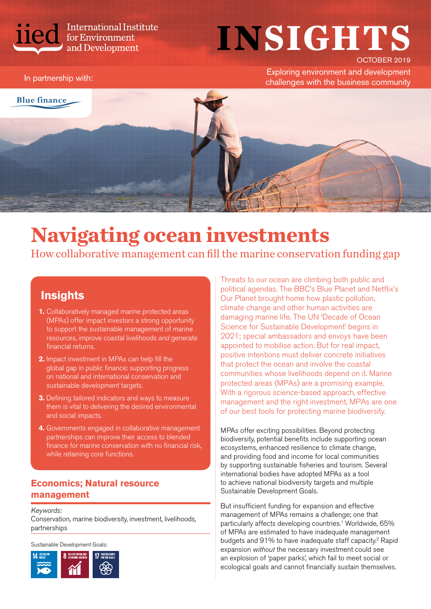

International Institute<br>for Environment<br>and Development

## **INSIGHTS**  OCTOBER 2019

Exploring environment and development In partnership with:<br>Challenges with the business community



# **Navigating ocean investments**

How collaborative management can fill the marine conservation funding gap

### **Insights**

- **1.** Collaboratively managed marine protected areas (MPAs) offer impact investors a strong opportunity to support the sustainable management of marine resources, improve coastal livelihoods *and* generate financial returns.
- **2.** Impact investment in MPAs can help fill the global gap in public finance: supporting progress on national and international conservation and sustainable development targets.
- **3.** Defining tailored indicators and ways to measure them is vital to delivering the desired environmental and social impacts.
- **4.** Governments engaged in collaborative management partnerships can improve their access to blended finance for marine conservation with no financial risk, while retaining core functions.

#### **Economics; Natural resource management**

Keywords:

Conservation, marine biodiversity, investment, livelihoods, partnerships

Sustainable Development Goals:



Threats to our ocean are climbing both public and political agendas. The BBC's Blue Planet and Netflix's Our Planet brought home how plastic pollution, climate change and other human activities are damaging marine life. The UN 'Decade of Ocean Science for Sustainable Development' begins in 2021; special ambassadors and envoys have been appointed to mobilise action. But for real impact, positive intentions must deliver concrete initiatives that protect the ocean and involve the coastal communities whose livelihoods depend on it. Marine protected areas (MPAs) are a promising example. With a rigorous science-based approach, effective management and the right investment, MPAs are one of our best tools for protecting marine biodiversity.

MPAs offer exciting possibilities. Beyond protecting biodiversity, potential benefits include supporting ocean ecosystems, enhanced resilience to climate change, and providing food and income for local communities by supporting sustainable fisheries and tourism. Several international bodies have adopted MPAs as a tool to achieve national biodiversity targets and multiple Sustainable Development Goals.

But insufficient funding for expansion and effective management of MPAs remains a challenge; one that particularly affects developing countries.<sup>1</sup> Worldwide, 65% of MPAs are estimated to have inadequate management budgets and 91% to have inadequate staff capacity.<sup>2</sup> Rapid expansion *without* the necessary investment could see an explosion of 'paper parks', which fail to meet social or ecological goals and cannot financially sustain themselves.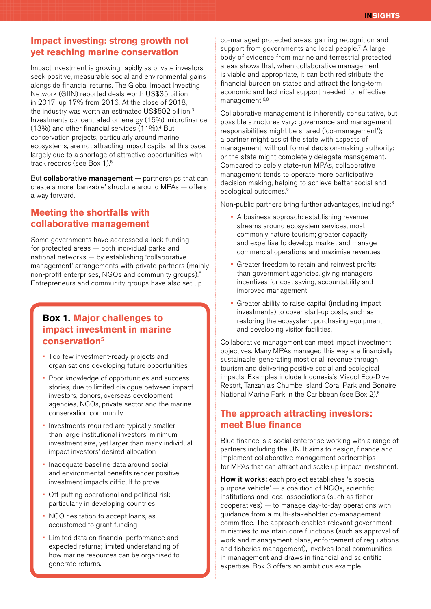#### **Impact investing: strong growth not yet reaching marine conservation**

Impact investment is growing rapidly as private investors seek positive, measurable social and environmental gains alongside financial returns. The Global Impact Investing Network (GIIN) reported deals worth US\$35 billion in 2017; up 17% from 2016. At the close of 2018, the industry was worth an estimated US\$502 billion.<sup>3</sup> Investments concentrated on energy (15%), microfinance (13%) and other financial services (11%).4 But conservation projects, particularly around marine ecosystems, are not attracting impact capital at this pace, largely due to a shortage of attractive opportunities with track records (see Box 1).5

But collaborative management — partnerships that can create a more 'bankable' structure around MPAs — offers a way forward.

#### **Meeting the shortfalls with collaborative management**

Some governments have addressed a lack funding for protected areas — both individual parks and national networks — by establishing 'collaborative management' arrangements with private partners (mainly non-profit enterprises, NGOs and community groups).6 Entrepreneurs and community groups have also set up

#### **Box 1. Major challenges to impact investment in marine conservation5**

- Too few investment-ready projects and organisations developing future opportunities
- Poor knowledge of opportunities and success stories, due to limited dialogue between impact investors, donors, overseas development agencies, NGOs, private sector and the marine conservation community
- Investments required are typically smaller than large institutional investors' minimum investment size, yet larger than many individual impact investors' desired allocation
- Inadequate baseline data around social and environmental benefits render positive investment impacts difficult to prove
- Off-putting operational and political risk, particularly in developing countries
- NGO hesitation to accept loans, as accustomed to grant funding
- Limited data on financial performance and expected returns; limited understanding of how marine resources can be organised to generate returns.

co-managed protected areas, gaining recognition and support from governments and local people.<sup>7</sup> A large body of evidence from marine and terrestrial protected areas shows that, when collaborative management is viable and appropriate, it can both redistribute the financial burden on states and attract the long-term economic and technical support needed for effective management.<sup>6,8</sup>

Collaborative management is inherently consultative, but possible structures vary: governance and management responsibilities might be shared ('co-management'); a partner might assist the state with aspects of management, without formal decision-making authority; or the state might completely delegate management. Compared to solely state-run MPAs, collaborative management tends to operate more participative decision making, helping to achieve better social and ecological outcomes.2

Non-public partners bring further advantages, including:6

- A business approach: establishing revenue streams around ecosystem services, most commonly nature tourism; greater capacity and expertise to develop, market and manage commercial operations and maximise revenues
- Greater freedom to retain and reinvest profits than government agencies, giving managers incentives for cost saving, accountability and improved management
- Greater ability to raise capital (including impact investments) to cover start-up costs, such as restoring the ecosystem, purchasing equipment and developing visitor facilities.

Collaborative management can meet impact investment objectives. Many MPAs managed this way are financially sustainable, generating most or all revenue through tourism and delivering positive social and ecological impacts. Examples include Indonesia's [Misool Eco-Dive](https://www.misool.info/)  [Resort,](https://www.misool.info/) Tanzania's [Chumbe Island Coral Park](https://chumbeisland.com) and [Bonaire](https://www.dcnanature.org/bonaire-national-marine-park/)  [National Marine Park](https://www.dcnanature.org/bonaire-national-marine-park/) in the Caribbean (see Box 2).5

#### **The approach attracting investors: meet Blue finance**

Blue finance is a social enterprise working with a range of partners including the UN. It aims to design, finance and implement collaborative management partnerships for MPAs that can attract and scale up impact investment.

How it works: each project establishes 'a special purpose vehicle' — a coalition of NGOs, scientific institutions and local associations (such as fisher cooperatives) — to manage day-to-day operations with guidance from a multi-stakeholder co-management committee. The approach enables relevant government ministries to maintain core functions (such as approval of work and management plans, enforcement of regulations and fisheries management), involves local communities in management and draws in financial and scientific expertise. Box 3 offers an ambitious example.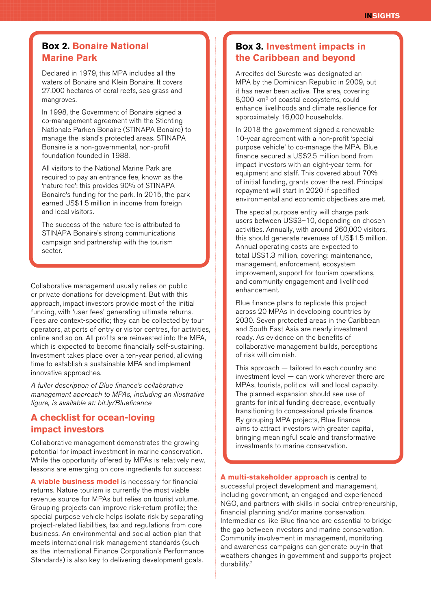#### **Box 2. Bonaire National Marine Park**

Declared in 1979, this MPA includes all the waters of Bonaire and Klein Bonaire. It covers 27,000 hectares of coral reefs, sea grass and mangroves.

In 1998, the Government of Bonaire signed a co-management agreement with the Stichting Nationale Parken Bonaire (STINAPA Bonaire) to manage the island's protected areas. STINAPA Bonaire is a non-governmental, non-profit foundation founded in 1988.

All visitors to the National Marine Park are required to pay an entrance fee, known as the 'nature fee'; this provides 90% of STINAPA Bonaire's funding for the park. In 2015, the park earned US\$1.5 million in income from foreign and local visitors.

The success of the nature fee is attributed to STINAPA Bonaire's strong communications campaign and partnership with the tourism sector.

Collaborative management usually relies on public or private donations for development. But with this approach, impact investors provide most of the initial funding, with 'user fees' generating ultimate returns. Fees are context-specific; they can be collected by tour operators, at ports of entry or visitor centres, for activities, online and so on. All profits are reinvested into the MPA, which is expected to become financially self-sustaining. Investment takes place over a ten-year period, allowing time to establish a sustainable MPA and implement innovative approaches.

*[A fuller description of Blue finance's collaborative](http://bit.ly/Bluefinance)  [management approach to MPAs, including an illustrative](http://bit.ly/Bluefinance)  [figure, is available at: bit.ly/Bluefinance](http://bit.ly/Bluefinance)*

#### **A checklist for ocean-loving impact investors**

Collaborative management demonstrates the growing potential for impact investment in marine conservation. While the opportunity offered by MPAs is relatively new, lessons are emerging on core ingredients for success:

**A viable business model** is necessary for financial returns. Nature tourism is currently the most viable revenue source for MPAs but relies on tourist volume. Grouping projects can improve risk-return profile; the special purpose vehicle helps isolate risk by separating project-related liabilities, tax and regulations from core business. An environmental and social action plan that meets international risk management standards (such as the International Finance Corporation's Performance Standards) is also key to delivering development goals.

#### **Box 3. Investment impacts in the Caribbean and beyond**

Arrecifes del Sureste was designated an MPA by the Dominican Republic in 2009, but it has never been active. The area, covering 8,000 km2 of coastal ecosystems, could enhance livelihoods and climate resilience for approximately 16,000 households.

In 2018 the government signed a renewable 10-year agreement with a non-profit 'special purpose vehicle' to co-manage the MPA. Blue finance secured a US\$2.5 million bond from impact investors with an eight-year term, for equipment and staff. This covered about 70% of initial funding, grants cover the rest. Principal repayment will start in 2020 if specified environmental and economic objectives are met.

The special purpose entity will charge park users between US\$3–10, depending on chosen activities. Annually, with around 260,000 visitors, this should generate revenues of US\$1.5 million. Annual operating costs are expected to total US\$1.3 million, covering: maintenance, management, enforcement, ecosystem improvement, support for tourism operations, and community engagement and livelihood enhancement.

Blue finance plans to replicate this project across 20 MPAs in developing countries by 2030. Seven protected areas in the Caribbean and South East Asia are nearly investment ready. As evidence on the benefits of collaborative management builds, perceptions of risk will diminish.

This approach — tailored to each country and investment level — can work wherever there are MPAs, tourists, political will and local capacity. The planned expansion should see use of grants for initial funding decrease, eventually transitioning to concessional private finance. By grouping MPA projects, Blue finance aims to attract investors with greater capital, bringing meaningful scale and transformative investments to marine conservation.

**A multi-stakeholder approach** is central to successful project development and management, including government, an engaged and experienced NGO, and partners with skills in social entrepreneurship, financial planning and/or marine conservation. Intermediaries like Blue finance are essential to bridge the gap between investors and marine conservation. Community involvement in management, monitoring and awareness campaigns can generate buy-in that weathers changes in government and supports project durability.7